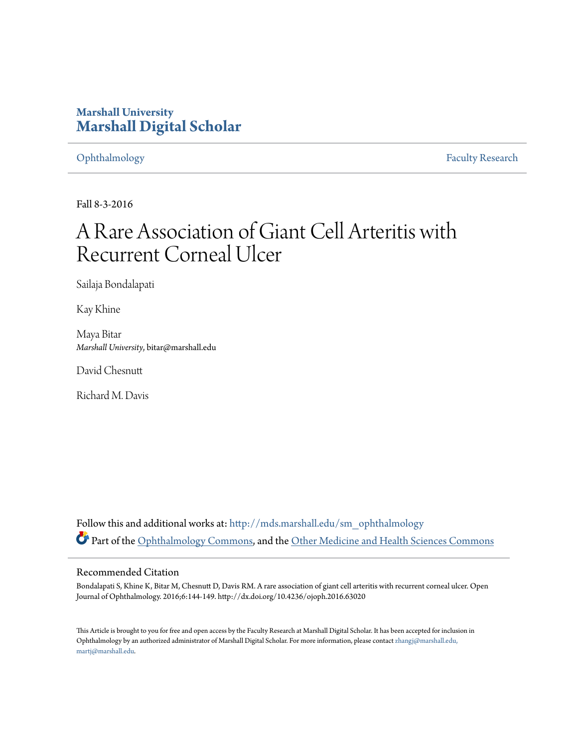# **Marshall University [Marshall Digital Scholar](http://mds.marshall.edu?utm_source=mds.marshall.edu%2Fsm_ophthalmology%2F2&utm_medium=PDF&utm_campaign=PDFCoverPages)**

[Ophthalmology](http://mds.marshall.edu/sm_ophthalmology?utm_source=mds.marshall.edu%2Fsm_ophthalmology%2F2&utm_medium=PDF&utm_campaign=PDFCoverPages) [Faculty Research](http://mds.marshall.edu/sm_faculty?utm_source=mds.marshall.edu%2Fsm_ophthalmology%2F2&utm_medium=PDF&utm_campaign=PDFCoverPages)

Fall 8-3-2016

# A Rare Association of Giant Cell Arteritis with Recurrent Corneal Ulcer

Sailaja Bondalapati

Kay Khine

Maya Bitar *Marshall University*, bitar@marshall.edu

David Chesnutt

Richard M. Davis

Follow this and additional works at: [http://mds.marshall.edu/sm\\_ophthalmology](http://mds.marshall.edu/sm_ophthalmology?utm_source=mds.marshall.edu%2Fsm_ophthalmology%2F2&utm_medium=PDF&utm_campaign=PDFCoverPages) Part of the [Ophthalmology Commons,](http://network.bepress.com/hgg/discipline/695?utm_source=mds.marshall.edu%2Fsm_ophthalmology%2F2&utm_medium=PDF&utm_campaign=PDFCoverPages) and the [Other Medicine and Health Sciences Commons](http://network.bepress.com/hgg/discipline/772?utm_source=mds.marshall.edu%2Fsm_ophthalmology%2F2&utm_medium=PDF&utm_campaign=PDFCoverPages)

### Recommended Citation

Bondalapati S, Khine K, Bitar M, Chesnutt D, Davis RM. A rare association of giant cell arteritis with recurrent corneal ulcer. Open Journal of Ophthalmology. 2016;6:144-149. http://dx.doi.org/10.4236/ojoph.2016.63020

This Article is brought to you for free and open access by the Faculty Research at Marshall Digital Scholar. It has been accepted for inclusion in Ophthalmology by an authorized administrator of Marshall Digital Scholar. For more information, please contact [zhangj@marshall.edu,](mailto:zhangj@marshall.edu,%20martj@marshall.edu) [martj@marshall.edu](mailto:zhangj@marshall.edu,%20martj@marshall.edu).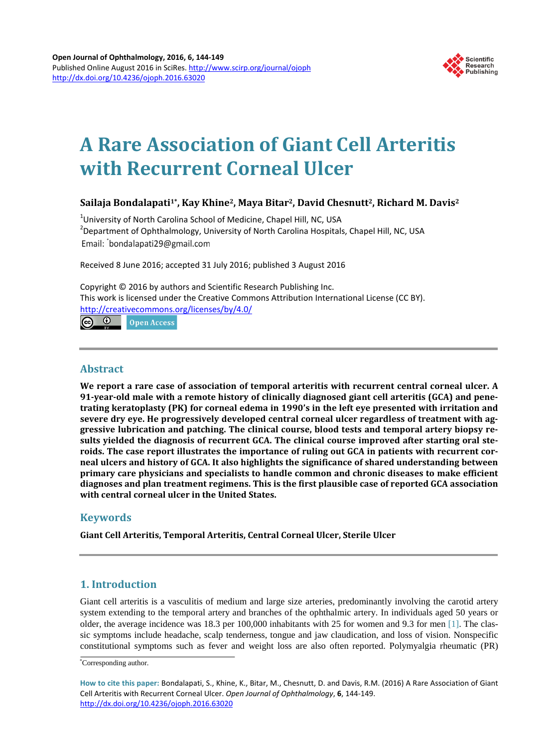

# **A Rare Association of Giant Cell Arteritis with Recurrent Corneal Ulcer**

# **Sailaja Bondalapati1\*, Kay Khine2, Maya Bitar2, David Chesnutt2, Richard M. Davis2**

<sup>1</sup>University of North Carolina School of Medicine, Chapel Hill, NC, USA<br><sup>2</sup>Department of Onbthalmology, University of North Carolina Heraital <sup>2</sup> Department of Ophthalmology, University of North Carolina Hospitals, Chapel Hill, NC, USA Email: bondalapati29@gmail.com

Received 8 June 2016; accepted 31 July 2016; published 3 August 2016

Copyright © 2016 by authors and Scientific Research Publishing Inc. This work is licensed under the Creative Commons Attribution International License (CC BY). <http://creativecommons.org/licenses/by/4.0/> ര 0 **Open Access** 

# **Abstract**

**We report a rare case of association of temporal arteritis with recurrent central corneal ulcer. A 91-year-old male with a remote history of clinically diagnosed giant cell arteritis (GCA) and penetrating keratoplasty (PK) for corneal edema in 1990's in the left eye presented with irritation and severe dry eye. He progressively developed central corneal ulcer regardless of treatment with aggressive lubrication and patching. The clinical course, blood tests and temporal artery biopsy results yielded the diagnosis of recurrent GCA. The clinical course improved after starting oral steroids. The case report illustrates the importance of ruling out GCA in patients with recurrent corneal ulcers and history of GCA. It also highlights the significance of shared understanding between primary care physicians and specialists to handle common and chronic diseases to make efficient diagnoses and plan treatment regimens. This is the first plausible case of reported GCA association with central corneal ulcer in the United States.**

# **Keywords**

**Giant Cell Arteritis, Temporal Arteritis, Central Corneal Ulcer, Sterile Ulcer**

# **1. Introduction**

Giant cell arteritis is a vasculitis of medium and large size arteries, predominantly involving the carotid artery system extending to the temporal artery and branches of the ophthalmic artery. In individuals aged 50 years or older, the average incidence was 18.3 per 100,000 inhabitants with 25 for women and 9.3 for men [\[](#page-5-0)1]. The classic symptoms include headache, scalp tenderness, tongue and jaw claudication, and loss of vision. Nonspecific constitutional symptoms such as fever and weight loss are also often reported. Polymyalgia rheumatic (PR)

<sup>\*</sup> Corresponding author.

**How to cite this paper:** Bondalapati, S., Khine, K., Bitar, M., Chesnutt, D. and Davis, R.M. (2016) A Rare Association of Giant Cell Arteritis with Recurrent Corneal Ulcer. *Open Journal of Ophthalmology*, **6**, 144-149. <http://dx.doi.org/10.4236/ojoph.2016.63020>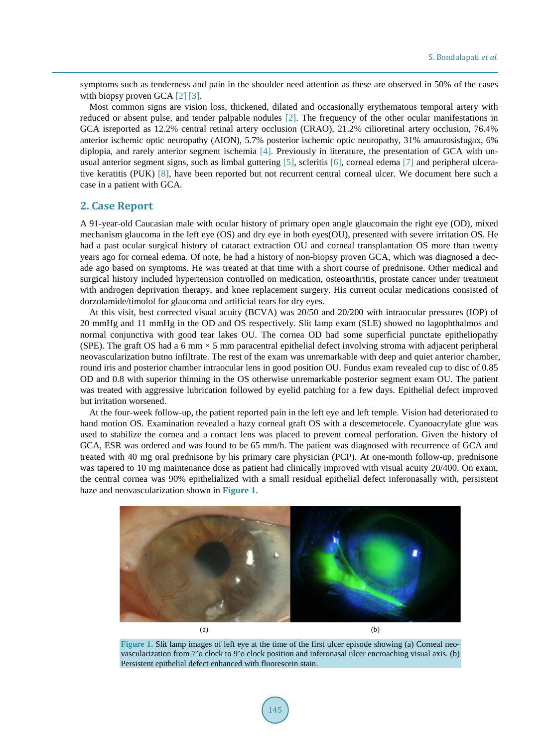symptoms such as tenderness and pain in the shoulder need attention as these are observed in 50% of the cases with biopsy proven GCA [\[2\]](#page-5-1) [\[3\].](#page-5-2)

Most common signs are vision loss, thickened, dilated and occasionally erythematous temporal artery with reduced or absent pulse, and tender palpable nodules [\[2\].](#page-5-1) The frequency of the other ocular manifestations in GCA isreported as 12.2% central retinal artery occlusion (CRAO), 21.2% cilioretinal artery occlusion, 76.4% anterior ischemic optic neuropathy (AION), 5.7% posterior ischemic optic neuropathy, 31% amaurosisfugax, 6% diplopia, and rarely anterior segment ischemia [\[4\].](#page-5-3) Previously in literature, the presentation of GCA with unusual anterior segment signs, such as limbal guttering [\[5\],](#page-5-4) scleritis [\[6\],](#page-5-5) corneal edema [\[7\]](#page-5-6) and peripheral ulcerative keratitis (PUK) [\[8\],](#page-5-7) have been reported but not recurrent central corneal ulcer. We document here such a case in a patient with GCA.

#### **2. Case Report**

A 91-year-old Caucasian male with ocular history of primary open angle glaucomain the right eye (OD), mixed mechanism glaucoma in the left eye (OS) and dry eye in both eyes(OU), presented with severe irritation OS. He had a past ocular surgical history of cataract extraction OU and corneal transplantation OS more than twenty years ago for corneal edema. Of note, he had a history of non-biopsy proven GCA, which was diagnosed a decade ago based on symptoms. He was treated at that time with a short course of prednisone. Other medical and surgical history included hypertension controlled on medication, osteoarthritis, prostate cancer under treatment with androgen deprivation therapy, and knee replacement surgery. His current ocular medications consisted of dorzolamide/timolol for glaucoma and artificial tears for dry eyes.

At this visit, best corrected visual acuity (BCVA) was 20/50 and 20/200 with intraocular pressures (IOP) of 20 mmHg and 11 mmHg in the OD and OS respectively. Slit lamp exam (SLE) showed no lagophthalmos and normal conjunctiva with good tear lakes OU. The cornea OD had some superficial punctate epitheliopathy (SPE). The graft OS had a 6 mm  $\times$  5 mm paracentral epithelial defect involving stroma with adjacent peripheral neovascularization butno infiltrate. The rest of the exam was unremarkable with deep and quiet anterior chamber, round iris and posterior chamber intraocular lens in good position OU. Fundus exam revealed cup to disc of 0.85 OD and 0.8 with superior thinning in the OS otherwise unremarkable posterior segment exam OU. The patient was treated with aggressive lubrication followed by eyelid patching for a few days. Epithelial defect improved but irritation worsened.

At the four-week follow-up, the patient reported pain in the left eye and left temple. Vision had deteriorated to hand motion OS. Examination revealed a hazy corneal graft OS with a descemetocele. Cyanoacrylate glue was used to stabilize the cornea and a contact lens was placed to prevent corneal perforation. Given the history of GCA, ESR was ordered and was found to be 65 mm/h. The patient was diagnosed with recurrence of GCA and treated with 40 mg oral prednisone by his primary care physician (PCP). At one-month follow-up, prednisone was tapered to 10 mg maintenance dose as patient had clinically improved with visual acuity 20/400. On exam, the central cornea was 90% epithelialized with a small residual epithelial defect inferonasally with, persistent haze and neovascularization shown in **[Figure 1](#page-2-0)**.

<span id="page-2-0"></span>

**Figure 1.** Slit lamp images of left eye at the time of the first ulcer episode showing (a) Corneal neovascularization from 7'o clock to 9'o clock position and inferonasal ulcer encroaching visual axis. (b) Persistent epithelial defect enhanced with fluorescein stain.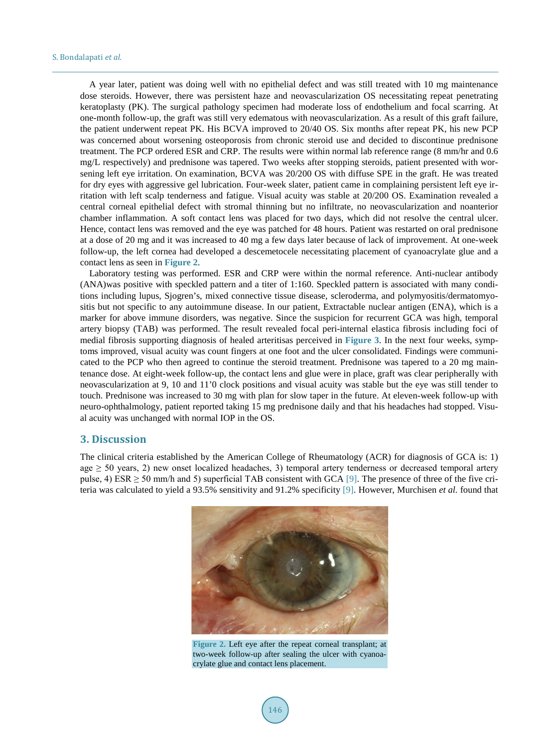A year later, patient was doing well with no epithelial defect and was still treated with 10 mg maintenance dose steroids. However, there was persistent haze and neovascularization OS necessitating repeat penetrating keratoplasty (PK). The surgical pathology specimen had moderate loss of endothelium and focal scarring. At one-month follow-up, the graft was still very edematous with neovascularization. As a result of this graft failure, the patient underwent repeat PK. His BCVA improved to 20/40 OS. Six months after repeat PK, his new PCP was concerned about worsening osteoporosis from chronic steroid use and decided to discontinue prednisone treatment. The PCP ordered ESR and CRP. The results were within normal lab reference range (8 mm/hr and 0.6 mg/L respectively) and prednisone was tapered. Two weeks after stopping steroids, patient presented with worsening left eye irritation. On examination, BCVA was 20/200 OS with diffuse SPE in the graft. He was treated for dry eyes with aggressive gel lubrication. Four-week slater, patient came in complaining persistent left eye irritation with left scalp tenderness and fatigue. Visual acuity was stable at 20/200 OS. Examination revealed a central corneal epithelial defect with stromal thinning but no infiltrate, no neovascularization and noanterior chamber inflammation. A soft contact lens was placed for two days, which did not resolve the central ulcer. Hence, contact lens was removed and the eye was patched for 48 hours. Patient was restarted on oral prednisone at a dose of 20 mg and it was increased to 40 mg a few days later because of lack of improvement. At one-week follow-up, the left cornea had developed a descemetocele necessitating placement of cyanoacrylate glue and a contact lens as seen in **[Figure 2](#page-3-0)**.

Laboratory testing was performed. ESR and CRP were within the normal reference. Anti-nuclear antibody (ANA)was positive with speckled pattern and a titer of 1:160. Speckled pattern is associated with many conditions including lupus, Sjogren's, mixed connective tissue disease, scleroderma, and polymyositis/dermatomyositis but not specific to any autoimmune disease. In our patient, Extractable nuclear antigen (ENA), which is a marker for above immune disorders, was negative. Since the suspicion for recurrent GCA was high, temporal artery biopsy (TAB) was performed. The result revealed focal peri-internal elastica fibrosis including foci of medial fibrosis supporting diagnosis of healed arteritisas perceived in **[Figure 3](#page-4-0)**. In the next four weeks, symptoms improved, visual acuity was count fingers at one foot and the ulcer consolidated. Findings were communicated to the PCP who then agreed to continue the steroid treatment. Prednisone was tapered to a 20 mg maintenance dose. At eight-week follow-up, the contact lens and glue were in place, graft was clear peripherally with neovascularization at 9, 10 and 11'0 clock positions and visual acuity was stable but the eye was still tender to touch. Prednisone was increased to 30 mg with plan for slow taper in the future. At eleven-week follow-up with neuro-ophthalmology, patient reported taking 15 mg prednisone daily and that his headaches had stopped. Visual acuity was unchanged with normal IOP in the OS.

#### **3. Discussion**

<span id="page-3-0"></span>The clinical criteria established by the American College of Rheumatology (ACR) for diagnosis of GCA is: 1) age  $\geq$  50 years, 2) new onset localized headaches, 3) temporal artery tenderness or decreased temporal artery pulse, 4) ESR  $\geq$  50 mm/h and 5) superficial TAB consistent with GCA [\[9\].](#page-5-8) The presence of three of the five criteria was calculated to yield a 93.5% sensitivity and 91.2% specificity [\[9\].](#page-5-8) However, Murchisen *et al.* found that



**Figure 2.** Left eye after the repeat corneal transplant; at two-week follow-up after sealing the ulcer with cyanoacrylate glue and contact lens placement.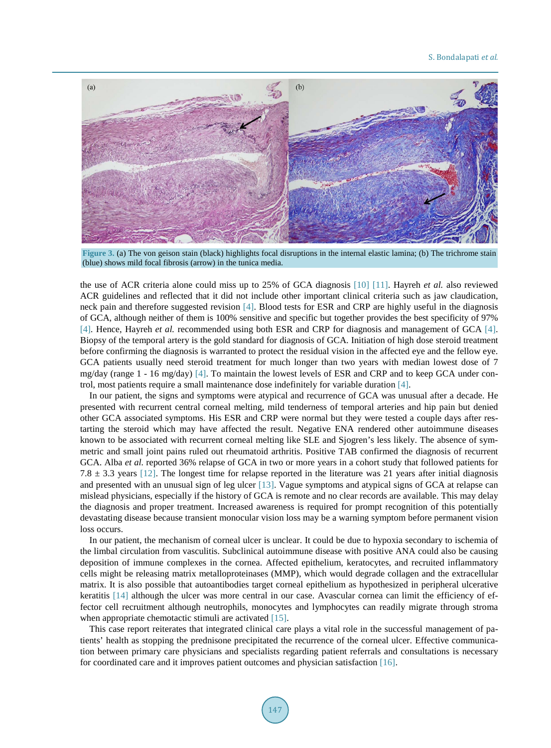<span id="page-4-0"></span>

**Figure 3.** (a) The von geison stain (black) highlights focal disruptions in the internal elastic lamina; (b) The trichrome stain (blue) shows mild focal fibrosis (arrow) in the tunica media.

the use of ACR criteria alone could miss up to 25% of GCA diagnosis [\[10\]](#page-5-9) [\[11\].](#page-5-10) Hayreh *et al.* also reviewed ACR guidelines and reflected that it did not include other important clinical criteria such as jaw claudication, neck pain and therefore suggested revision [\[4\].](#page-5-3) Blood tests for ESR and CRP are highly useful in the diagnosis of GCA, although neither of them is 100% sensitive and specific but together provides the best specificity of 97% [\[4\].](#page-5-3) Hence, Hayreh *et al.* recommended using both ESR and CRP for diagnosis and management of GCA [\[4\].](#page-5-3) Biopsy of the temporal artery is the gold standard for diagnosis of GCA. Initiation of high dose steroid treatment before confirming the diagnosis is warranted to protect the residual vision in the affected eye and the fellow eye. GCA patients usually need steroid treatment for much longer than two years with median lowest dose of 7 mg/day (range 1 - 16 mg/day) [\[4\].](#page-5-3) To maintain the lowest levels of ESR and CRP and to keep GCA under control, most patients require a small maintenance dose indefinitely for variable duration [\[4\].](#page-5-3)

In our patient, the signs and symptoms were atypical and recurrence of GCA was unusual after a decade. He presented with recurrent central corneal melting, mild tenderness of temporal arteries and hip pain but denied other GCA associated symptoms. His ESR and CRP were normal but they were tested a couple days after restarting the steroid which may have affected the result. Negative ENA rendered other autoimmune diseases known to be associated with recurrent corneal melting like SLE and Sjogren's less likely. The absence of symmetric and small joint pains ruled out rheumatoid arthritis. Positive TAB confirmed the diagnosis of recurrent GCA. Alba *et al.* reported 36% relapse of GCA in two or more years in a cohort study that followed patients for 7.8  $\pm$  3.3 years [\[12\].](#page-5-11) The longest time for relapse reported in the literature was 21 years after initial diagnosis and presented with an unusual sign of leg ulcer [\[13\].](#page-5-12) Vague symptoms and atypical signs of GCA at relapse can mislead physicians, especially if the history of GCA is remote and no clear records are available. This may delay the diagnosis and proper treatment. Increased awareness is required for prompt recognition of this potentially devastating disease because transient monocular vision loss may be a warning symptom before permanent vision loss occurs.

In our patient, the mechanism of corneal ulcer is unclear. It could be due to hypoxia secondary to ischemia of the limbal circulation from vasculitis. Subclinical autoimmune disease with positive ANA could also be causing deposition of immune complexes in the cornea. Affected epithelium, keratocytes, and recruited inflammatory cells might be releasing matrix metalloproteinases (MMP), which would degrade collagen and the extracellular matrix. It is also possible that autoantibodies target corneal epithelium as hypothesized in peripheral ulcerative keratitis [\[14\]](#page-5-13) although the ulcer was more central in our case. Avascular cornea can limit the efficiency of effector cell recruitment although neutrophils, monocytes and lymphocytes can readily migrate through stroma when appropriate chemotactic stimuli are activated [\[15\].](#page-5-14)

This case report reiterates that integrated clinical care plays a vital role in the successful management of patients' health as stopping the prednisone precipitated the recurrence of the corneal ulcer. Effective communication between primary care physicians and specialists regarding patient referrals and consultations is necessary for coordinated care and it improves patient outcomes and physician satisfaction [\[16\].](#page-5-15)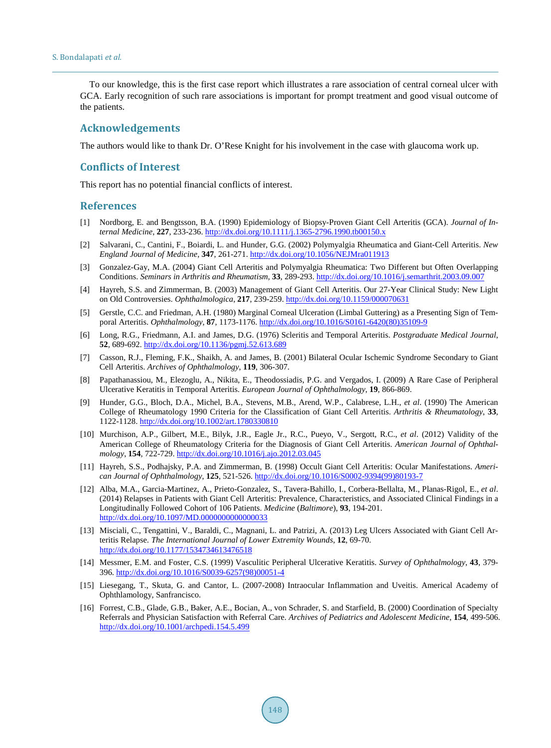To our knowledge, this is the first case report which illustrates a rare association of central corneal ulcer with GCA. Early recognition of such rare associations is important for prompt treatment and good visual outcome of the patients.

### **Acknowledgements**

The authors would like to thank Dr. O'Rese Knight for his involvement in the case with glaucoma work up.

#### **Conflicts of Interest**

This report has no potential financial conflicts of interest.

#### **References**

- <span id="page-5-0"></span>[1] Nordborg, E. and Bengtsson, B.A. (1990) Epidemiology of Biopsy-Proven Giant Cell Arteritis (GCA). *Journal of Internal Medicine*, **227**, 233-236. <http://dx.doi.org/10.1111/j.1365-2796.1990.tb00150.x>
- <span id="page-5-1"></span>[2] Salvarani, C., Cantini, F., Boiardi, L. and Hunder, G.G. (2002) Polymyalgia Rheumatica and Giant-Cell Arteritis. *New England Journal of Medicine*, **347**, 261-271. <http://dx.doi.org/10.1056/NEJMra011913>
- <span id="page-5-2"></span>[3] Gonzalez-Gay, M.A. (2004) Giant Cell Arteritis and Polymyalgia Rheumatica: Two Different but Often Overlapping Conditions. *Seminars in Arthritis and Rheumatism*, **33**, 289-293. <http://dx.doi.org/10.1016/j.semarthrit.2003.09.007>
- <span id="page-5-3"></span>[4] Hayreh, S.S. and Zimmerman, B. (2003) Management of Giant Cell Arteritis. Our 27-Year Clinical Study: New Light on Old Controversies. *Ophthalmologica*, **217**, 239-259. <http://dx.doi.org/10.1159/000070631>
- <span id="page-5-4"></span>[5] Gerstle, C.C. and Friedman, A.H. (1980) Marginal Corneal Ulceration (Limbal Guttering) as a Presenting Sign of Temporal Arteritis. *Ophthalmology*, **87**, 1173-1176. [http://dx.doi.org/10.1016/S0161-6420\(80\)35109-9](http://dx.doi.org/10.1016/S0161-6420(80)35109-9)
- <span id="page-5-5"></span>[6] Long, R.G., Friedmann, A.I. and James, D.G. (1976) Scleritis and Temporal Arteritis. *Postgraduate Medical Journal*, **52**, 689-692. <http://dx.doi.org/10.1136/pgmj.52.613.689>
- <span id="page-5-6"></span>[7] Casson, R.J., Fleming, F.K., Shaikh, A. and James, B. (2001) Bilateral Ocular Ischemic Syndrome Secondary to Giant Cell Arteritis. *Archives of Ophthalmology*, **119**, 306-307.
- <span id="page-5-7"></span>[8] Papathanassiou, M., Elezoglu, A., Nikita, E., Theodossiadis, P.G. and Vergados, I. (2009) A Rare Case of Peripheral Ulcerative Keratitis in Temporal Arteritis. *European Journal of Ophthalmology*, **19**, 866-869.
- <span id="page-5-8"></span>[9] Hunder, G.G., Bloch, D.A., Michel, B.A., Stevens, M.B., Arend, W.P., Calabrese, L.H., *et al*. (1990) The American College of Rheumatology 1990 Criteria for the Classification of Giant Cell Arteritis. *Arthritis & Rheumatology*, **33**, 1122-1128. <http://dx.doi.org/10.1002/art.1780330810>
- <span id="page-5-9"></span>[10] Murchison, A.P., Gilbert, M.E., Bilyk, J.R., Eagle Jr., R.C., Pueyo, V., Sergott, R.C., *et al*. (2012) Validity of the American College of Rheumatology Criteria for the Diagnosis of Giant Cell Arteritis. *American Journal of Ophthalmology*, **154**, 722-729. <http://dx.doi.org/10.1016/j.ajo.2012.03.045>
- <span id="page-5-10"></span>[11] Hayreh, S.S., Podhajsky, P.A. and Zimmerman, B. (1998) Occult Giant Cell Arteritis: Ocular Manifestations. *American Journal of Ophthalmology*, **125**, 521-526. [http://dx.doi.org/10.1016/S0002-9394\(99\)80193-7](http://dx.doi.org/10.1016/S0002-9394(99)80193-7)
- <span id="page-5-11"></span>[12] Alba, M.A., Garcia-Martinez, A., Prieto-Gonzalez, S., Tavera-Bahillo, I., Corbera-Bellalta, M., Planas-Rigol, E., *et al*. (2014) Relapses in Patients with Giant Cell Arteritis: Prevalence, Characteristics, and Associated Clinical Findings in a Longitudinally Followed Cohort of 106 Patients. *Medicine* (*Baltimore*), **93**, 194-201. <http://dx.doi.org/10.1097/MD.0000000000000033>
- <span id="page-5-12"></span>[13] Misciali, C., Tengattini, V., Baraldi, C., Magnani, L. and Patrizi, A. (2013) Leg Ulcers Associated with Giant Cell Arteritis Relapse. *The International Journal of Lower Extremity Wounds*, **12**, 69-70. <http://dx.doi.org/10.1177/1534734613476518>
- <span id="page-5-13"></span>[14] Messmer, E.M. and Foster, C.S. (1999) Vasculitic Peripheral Ulcerative Keratitis. *Survey of Ophthalmology*, **43**, 379- 396. [http://dx.doi.org/10.1016/S0039-6257\(98\)00051-4](http://dx.doi.org/10.1016/S0039-6257(98)00051-4)
- <span id="page-5-14"></span>[15] Liesegang, T., Skuta, G. and Cantor, L. (2007-2008) Intraocular Inflammation and Uveitis. Americal Academy of Ophthlamology, Sanfrancisco.
- <span id="page-5-15"></span>[16] Forrest, C.B., Glade, G.B., Baker, A.E., Bocian, A., von Schrader, S. and Starfield, B. (2000) Coordination of Specialty Referrals and Physician Satisfaction with Referral Care. *Archives of Pediatrics and Adolescent Medicine*, **154**, 499-506. <http://dx.doi.org/10.1001/archpedi.154.5.499>